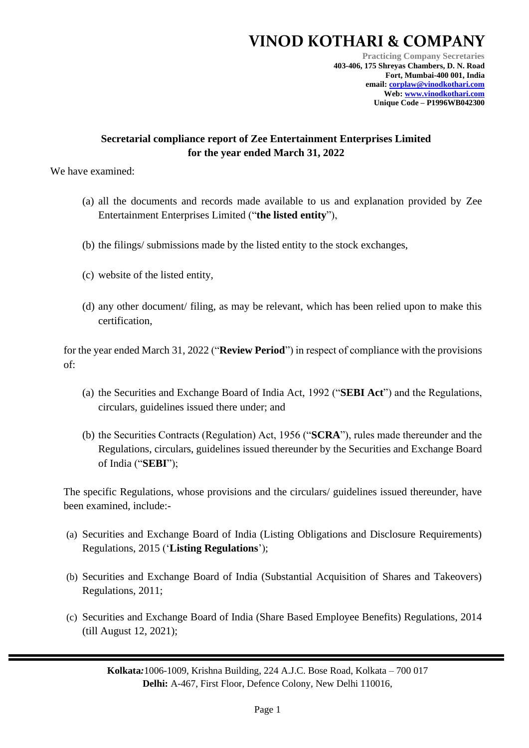## **VINOD KOTHARI & COMPANY**

**Practicing Company Secretaries 403-406, 175 Shreyas Chambers, D. N. Road Fort, Mumbai-400 001, India email: [corplaw@vinodkothari.com](mailto:corplaw@vinodkothari.com) Web: [www.vinodkothari.com](http://www.vinodkothari.com/) Unique Code – P1996WB042300**

## **Secretarial compliance report of Zee Entertainment Enterprises Limited for the year ended March 31, 2022**

We have examined:

- (a) all the documents and records made available to us and explanation provided by Zee Entertainment Enterprises Limited ("**the listed entity**"),
- (b) the filings/ submissions made by the listed entity to the stock exchanges,
- (c) website of the listed entity,
- (d) any other document/ filing, as may be relevant, which has been relied upon to make this certification,

for the year ended March 31, 2022 ("**Review Period**") in respect of compliance with the provisions of:

- (a) the Securities and Exchange Board of India Act, 1992 ("**SEBI Act**") and the Regulations, circulars, guidelines issued there under; and
- (b) the Securities Contracts (Regulation) Act, 1956 ("**SCRA**"), rules made thereunder and the Regulations, circulars, guidelines issued thereunder by the Securities and Exchange Board of India ("**SEBI**");

The specific Regulations, whose provisions and the circulars/ guidelines issued thereunder, have been examined, include:-

- (a) Securities and Exchange Board of India (Listing Obligations and Disclosure Requirements) Regulations, 2015 ('**Listing Regulations**');
- (b) Securities and Exchange Board of India (Substantial Acquisition of Shares and Takeovers) Regulations, 2011;
- (c) Securities and Exchange Board of India (Share Based Employee Benefits) Regulations, 2014 (till August 12, 2021);

**Kolkata***:*1006-1009, Krishna Building, 224 A.J.C. Bose Road, Kolkata – 700 017 **Delhi:** A-467, First Floor, Defence Colony, New Delhi 110016,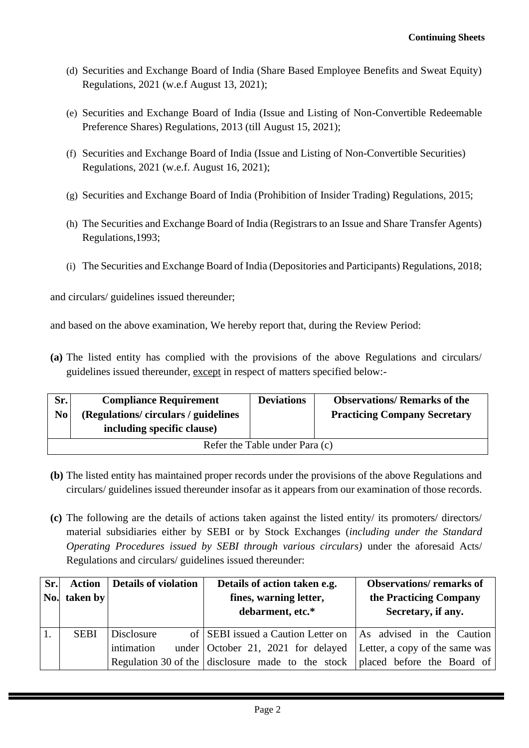- (d) Securities and Exchange Board of India (Share Based Employee Benefits and Sweat Equity) Regulations, 2021 (w.e.f August 13, 2021);
- (e) Securities and Exchange Board of India (Issue and Listing of Non-Convertible Redeemable Preference Shares) Regulations, 2013 (till August 15, 2021);
- (f) Securities and Exchange Board of India (Issue and Listing of Non-Convertible Securities) Regulations, 2021 (w.e.f. August 16, 2021);
- (g) Securities and Exchange Board of India (Prohibition of Insider Trading) Regulations, 2015;
- (h) The Securities and Exchange Board of India (Registrars to an Issue and Share Transfer Agents) Regulations,1993;
- (i) The Securities and Exchange Board of India (Depositories and Participants) Regulations, 2018;

and circulars/ guidelines issued thereunder;

and based on the above examination, We hereby report that, during the Review Period:

**(a)** The listed entity has complied with the provisions of the above Regulations and circulars/ guidelines issued thereunder, except in respect of matters specified below:-

| Sr.                            | <b>Compliance Requirement</b>      | <b>Deviations</b> | <b>Observations/ Remarks of the</b> |  |  |
|--------------------------------|------------------------------------|-------------------|-------------------------------------|--|--|
| N <sub>0</sub>                 | (Regulations/circulars/guidelines) |                   | <b>Practicing Company Secretary</b> |  |  |
|                                | including specific clause)         |                   |                                     |  |  |
| Refer the Table under Para (c) |                                    |                   |                                     |  |  |

- **(b)** The listed entity has maintained proper records under the provisions of the above Regulations and circulars/ guidelines issued thereunder insofar as it appears from our examination of those records.
- **(c)** The following are the details of actions taken against the listed entity/ its promoters/ directors/ material subsidiaries either by SEBI or by Stock Exchanges (*including under the Standard Operating Procedures issued by SEBI through various circulars)* under the aforesaid Acts/ Regulations and circulars/ guidelines issued thereunder:

| Sr. |              | <b>Action</b>   Details of violation | Details of action taken e.g.                      | <b>Observations/remarks of</b> |
|-----|--------------|--------------------------------------|---------------------------------------------------|--------------------------------|
|     | No. taken by |                                      | fines, warning letter,                            | the Practicing Company         |
|     |              |                                      | debarment, etc.*                                  | Secretary, if any.             |
|     | <b>SEBI</b>  | Disclosure                           | of SEBI issued a Caution Letter on                | As advised in the Caution      |
|     |              | intimation                           | under October 21, 2021 for delayed                | Letter, a copy of the same was |
|     |              |                                      | Regulation 30 of the disclosure made to the stock | placed before the Board of     |